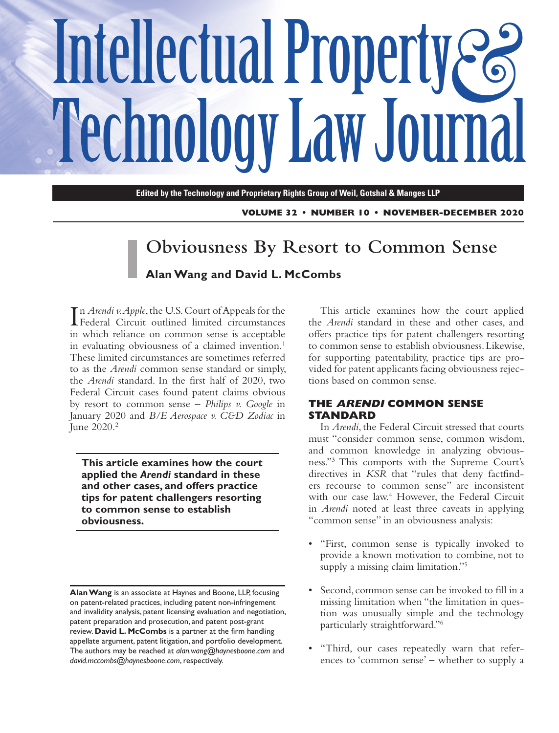# Intellectual Property  $\mathcal{E}_{\delta}$ **Technology Law Journal**

**Edited by the Technology and Proprietary Rights Group of Weil, Gotshal & Manges LLP**

**VOLUME 32 • NUMBER 10 • NOVEMBER-DECEMBER 2020**

# **Obviousness By Resort to Common Sense Alan Wang and David L. McCombs**

In Arendi v. Apple, the U.S. Court of Appeals for the<br>Federal Circuit outlined limited circumstances n *Arendi v. Apple*, the U.S. Court of Appeals for the in which reliance on common sense is acceptable in evaluating obviousness of a claimed invention.<sup>1</sup> These limited circumstances are sometimes referred to as the *Arendi* common sense standard or simply, the *Arendi* standard. In the first half of 2020, two Federal Circuit cases found patent claims obvious by resort to common sense – *Philips v. Google* in January 2020 and *B/E Aerospace v. C&D Zodiac* in June  $2020.<sup>2</sup>$ 

**This article examines how the court applied the** *Arendi* **standard in these and other cases, and offers practice tips for patent challengers resorting to common sense to establish obviousness.**

This article examines how the court applied the *Arendi* standard in these and other cases, and offers practice tips for patent challengers resorting to common sense to establish obviousness. Likewise, for supporting patentability, practice tips are provided for patent applicants facing obviousness rejections based on common sense.

### **THE ARENDI COMMON SENSE STANDARD**

In *Arendi*, the Federal Circuit stressed that courts must "consider common sense, common wisdom, and common knowledge in analyzing obviousness."3 This comports with the Supreme Court's directives in *KSR* that "rules that deny factfinders recourse to common sense" are inconsistent with our case law.4 However, the Federal Circuit in *Arendi* noted at least three caveats in applying "common sense" in an obviousness analysis:

- "First, common sense is typically invoked to provide a known motivation to combine, not to supply a missing claim limitation."<sup>5</sup>
- Second, common sense can be invoked to fill in a missing limitation when "the limitation in question was unusually simple and the technology particularly straightforward."6
- "Third, our cases repeatedly warn that references to 'common sense' – whether to supply a

**Alan Wang** is an associate at Haynes and Boone, LLP, focusing on patent-related practices, including patent non-infringement and invalidity analysis, patent licensing evaluation and negotiation, patent preparation and prosecution, and patent post-grant review. **David L. McCombs** is a partner at the firm handling appellate argument, patent litigation, and portfolio development. The authors may be reached at *[alan.wang@haynesboone.com](mailto:alan.wang@haynesboone.com)* and *[david.mccombs@haynesboone.com](mailto:david.mccombs@haynesboone.com)*, respectively.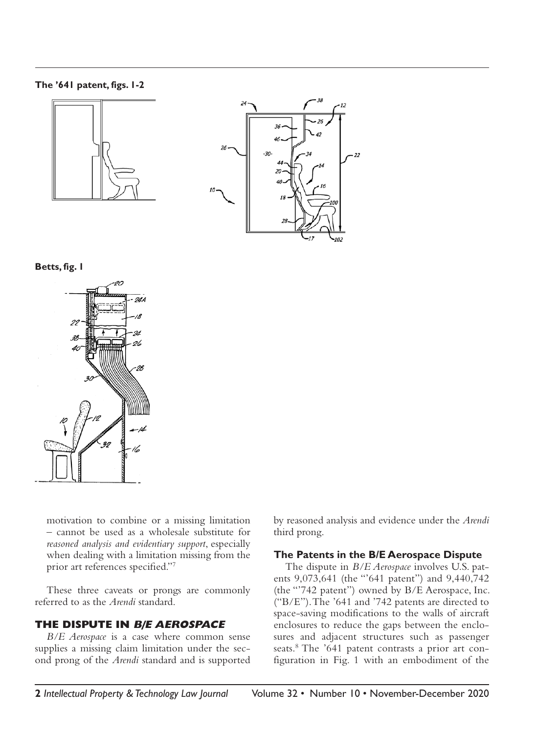#### **The '641 patent, figs. 1-2**





#### **Betts, fig. 1**



motivation to combine or a missing limitation – cannot be used as a wholesale substitute for *reasoned analysis and evidentiary support*, especially when dealing with a limitation missing from the prior art references specified."7

These three caveats or prongs are commonly referred to as the *Arendi* standard.

#### **THE DISPUTE IN B/E AEROSPACE**

*B/E Aerospace* is a case where common sense supplies a missing claim limitation under the second prong of the *Arendi* standard and is supported by reasoned analysis and evidence under the *Arendi* third prong.

#### **The Patents in the B/E Aerospace Dispute**

The dispute in *B/E Aerospace* involves U.S. patents 9,073,641 (the "'641 patent") and 9,440,742 (the "'742 patent") owned by B/E Aerospace, Inc. ("B/E"). The '641 and '742 patents are directed to space-saving modifications to the walls of aircraft enclosures to reduce the gaps between the enclosures and adjacent structures such as passenger seats.<sup>8</sup> The '641 patent contrasts a prior art configuration in Fig. 1 with an embodiment of the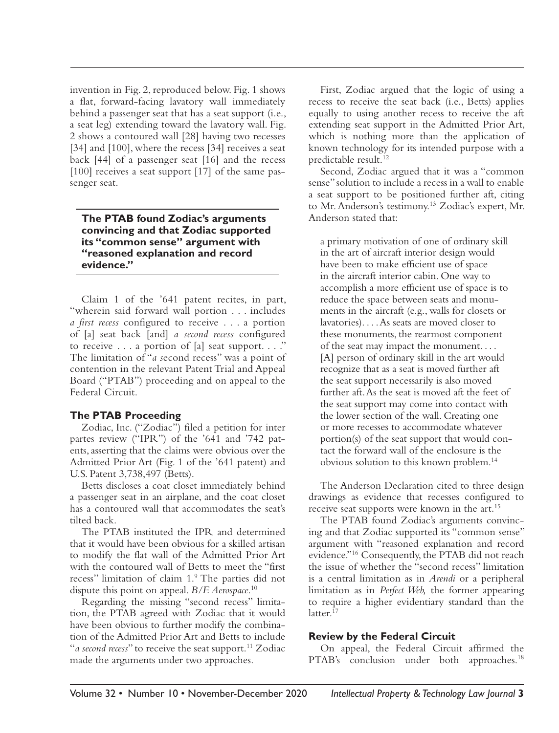invention in Fig. 2, reproduced below. Fig. 1 shows a flat, forward-facing lavatory wall immediately behind a passenger seat that has a seat support (i.e., a seat leg) extending toward the lavatory wall. Fig. 2 shows a contoured wall [28] having two recesses [34] and [100], where the recess [34] receives a seat back [44] of a passenger seat [16] and the recess [100] receives a seat support [17] of the same passenger seat.

**The PTAB found Zodiac's arguments convincing and that Zodiac supported its "common sense" argument with "reasoned explanation and record evidence."**

Claim 1 of the '641 patent recites, in part, "wherein said forward wall portion . . . includes *a first recess* configured to receive . . . a portion of [a] seat back [and] *a second recess* configured to receive . . . a portion of [a] seat support. . . ." The limitation of "*a s*econd recess" was a point of contention in the relevant Patent Trial and Appeal Board ("PTAB") proceeding and on appeal to the Federal Circuit.

# **The PTAB Proceeding**

Zodiac, Inc. ("Zodiac") filed a petition for inter partes review ("IPR") of the '641 and '742 patents, asserting that the claims were obvious over the Admitted Prior Art (Fig. 1 of the '641 patent) and U.S. Patent 3,738,497 (Betts).

Betts discloses a coat closet immediately behind a passenger seat in an airplane, and the coat closet has a contoured wall that accommodates the seat's tilted back.

The PTAB instituted the IPR and determined that it would have been obvious for a skilled artisan to modify the flat wall of the Admitted Prior Art with the contoured wall of Betts to meet the "first recess" limitation of claim 1.9 The parties did not dispute this point on appeal. *B/E Aerospace*. 10

Regarding the missing "second recess" limitation, the PTAB agreed with Zodiac that it would have been obvious to further modify the combination of the Admitted Prior Art and Betts to include "*a second recess*" to receive the seat support.<sup>11</sup> Zodiac made the arguments under two approaches.

First, Zodiac argued that the logic of using a recess to receive the seat back (i.e., Betts) applies equally to using another recess to receive the aft extending seat support in the Admitted Prior Art, which is nothing more than the application of known technology for its intended purpose with a predictable result.12

Second, Zodiac argued that it was a "common sense" solution to include a recess in a wall to enable a seat support to be positioned further aft, citing to Mr. Anderson's testimony.13 Zodiac's expert, Mr. Anderson stated that:

a primary motivation of one of ordinary skill in the art of aircraft interior design would have been to make efficient use of space in the aircraft interior cabin. One way to accomplish a more efficient use of space is to reduce the space between seats and monuments in the aircraft (e.g., walls for closets or lavatories). . . . As seats are moved closer to these monuments, the rearmost component of the seat may impact the monument. . . . [A] person of ordinary skill in the art would recognize that as a seat is moved further aft the seat support necessarily is also moved further aft. As the seat is moved aft the feet of the seat support may come into contact with the lower section of the wall. Creating one or more recesses to accommodate whatever portion(s) of the seat support that would contact the forward wall of the enclosure is the obvious solution to this known problem.14

The Anderson Declaration cited to three design drawings as evidence that recesses configured to receive seat supports were known in the art.<sup>15</sup>

The PTAB found Zodiac's arguments convincing and that Zodiac supported its "common sense" argument with "reasoned explanation and record evidence."16 Consequently, the PTAB did not reach the issue of whether the "second recess" limitation is a central limitation as in *Arendi* or a peripheral limitation as in *Perfect Web,* the former appearing to require a higher evidentiary standard than the latter. $17$ 

#### **Review by the Federal Circuit**

On appeal, the Federal Circuit affirmed the PTAB's conclusion under both approaches.<sup>18</sup>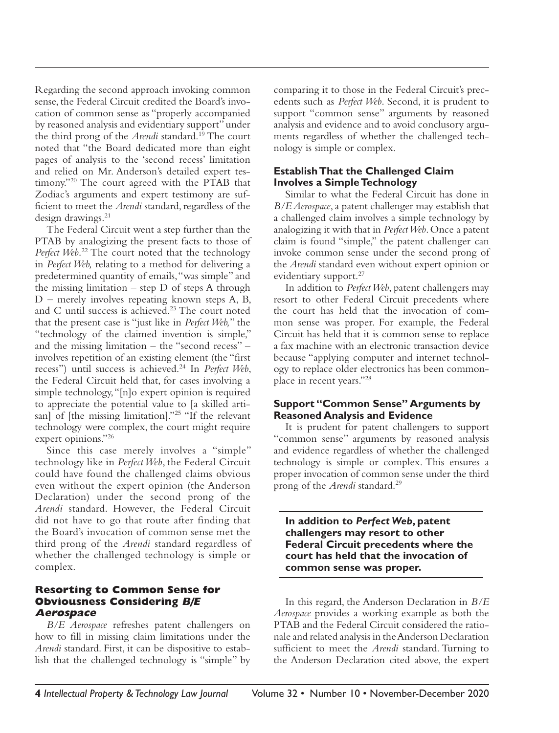Regarding the second approach invoking common sense, the Federal Circuit credited the Board's invocation of common sense as "properly accompanied by reasoned analysis and evidentiary support" under the third prong of the *Arendi* standard.<sup>19</sup> The court noted that "the Board dedicated more than eight pages of analysis to the 'second recess' limitation and relied on Mr. Anderson's detailed expert testimony."20 The court agreed with the PTAB that Zodiac's arguments and expert testimony are sufficient to meet the *Arendi* standard, regardless of the design drawings.<sup>21</sup>

The Federal Circuit went a step further than the PTAB by analogizing the present facts to those of Perfect Web.<sup>22</sup> The court noted that the technology in *Perfect Web,* relating to a method for delivering a predetermined quantity of emails, "was simple" and the missing limitation – step D of steps A through D – merely involves repeating known steps A, B, and  $C$  until success is achieved.<sup>23</sup> The court noted that the present case is "just like in *Perfect Web,*" the "technology of the claimed invention is simple," and the missing limitation – the "second recess" – involves repetition of an existing element (the "first recess") until success is achieved.<sup>24</sup> In *Perfect Web*, the Federal Circuit held that, for cases involving a simple technology, "[n]o expert opinion is required to appreciate the potential value to [a skilled artisan] of [the missing limitation]."<sup>25</sup> "If the relevant technology were complex, the court might require expert opinions."26

Since this case merely involves a "simple" technology like in *Perfect Web*, the Federal Circuit could have found the challenged claims obvious even without the expert opinion (the Anderson Declaration) under the second prong of the *Arendi* standard. However, the Federal Circuit did not have to go that route after finding that the Board's invocation of common sense met the third prong of the *Arendi* standard regardless of whether the challenged technology is simple or complex.

#### **Resorting to Common Sense for Obviousness Considering B/E Aerospace**

*B/E Aerospace* refreshes patent challengers on how to fill in missing claim limitations under the *Arendi* standard. First, it can be dispositive to establish that the challenged technology is "simple" by comparing it to those in the Federal Circuit's precedents such as *Perfect Web*. Second, it is prudent to support "common sense" arguments by reasoned analysis and evidence and to avoid conclusory arguments regardless of whether the challenged technology is simple or complex.

# **Establish That the Challenged Claim Involves a Simple Technology**

Similar to what the Federal Circuit has done in *B/E Aerospace*, a patent challenger may establish that a challenged claim involves a simple technology by analogizing it with that in *Perfect Web*. Once a patent claim is found "simple," the patent challenger can invoke common sense under the second prong of the *Arendi* standard even without expert opinion or evidentiary support.<sup>27</sup>

In addition to *Perfect Web*, patent challengers may resort to other Federal Circuit precedents where the court has held that the invocation of common sense was proper. For example, the Federal Circuit has held that it is common sense to replace a fax machine with an electronic transaction device because "applying computer and internet technology to replace older electronics has been commonplace in recent years."28

# **Support "Common Sense" Arguments by Reasoned Analysis and Evidence**

It is prudent for patent challengers to support "common sense" arguments by reasoned analysis and evidence regardless of whether the challenged technology is simple or complex. This ensures a proper invocation of common sense under the third prong of the *Arendi* standard.<sup>29</sup>

**In addition to** *Perfect Web***, patent challengers may resort to other Federal Circuit precedents where the court has held that the invocation of common sense was proper.**

In this regard, the Anderson Declaration in *B/E Aerospace* provides a working example as both the PTAB and the Federal Circuit considered the rationale and related analysis in the Anderson Declaration sufficient to meet the *Arendi* standard. Turning to the Anderson Declaration cited above, the expert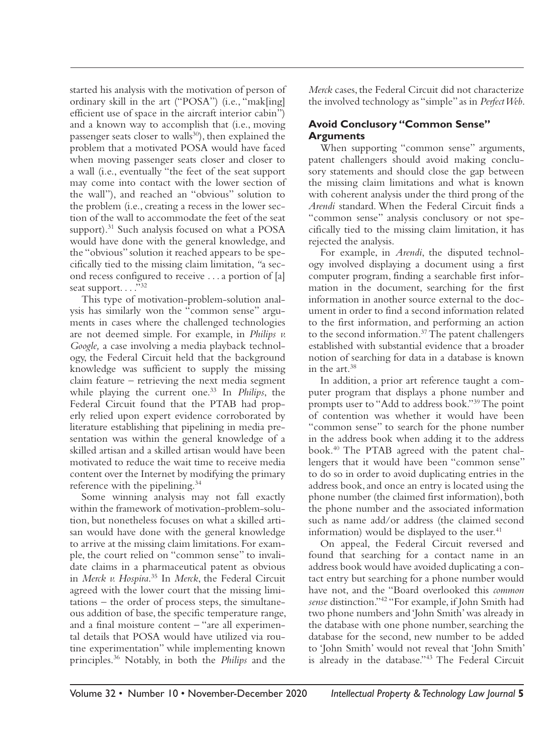started his analysis with the motivation of person of ordinary skill in the art ("POSA") (i.e., "mak[ing] efficient use of space in the aircraft interior cabin") and a known way to accomplish that (i.e., moving passenger seats closer to walls<sup>30</sup>), then explained the problem that a motivated POSA would have faced when moving passenger seats closer and closer to a wall (i.e., eventually "the feet of the seat support may come into contact with the lower section of the wall"), and reached an "obvious" solution to the problem (i.e., creating a recess in the lower section of the wall to accommodate the feet of the seat support).<sup>31</sup> Such analysis focused on what a POSA would have done with the general knowledge, and the "obvious" solution it reached appears to be specifically tied to the missing claim limitation, *"*a second recess configured to receive . . . a portion of [a] seat support...."<sup>32</sup>

This type of motivation-problem-solution analysis has similarly won the "common sense" arguments in cases where the challenged technologies are not deemed simple. For example, in *Philips v. Google,* a case involving a media playback technology, the Federal Circuit held that the background knowledge was sufficient to supply the missing claim feature – retrieving the next media segment while playing the current one.33 In *Philips*, the Federal Circuit found that the PTAB had properly relied upon expert evidence corroborated by literature establishing that pipelining in media presentation was within the general knowledge of a skilled artisan and a skilled artisan would have been motivated to reduce the wait time to receive media content over the Internet by modifying the primary reference with the pipelining.34

Some winning analysis may not fall exactly within the framework of motivation-problem-solution, but nonetheless focuses on what a skilled artisan would have done with the general knowledge to arrive at the missing claim limitations. For example, the court relied on "common sense" to invalidate claims in a pharmaceutical patent as obvious in *Merck v. Hospira*. 35 In *Merck*, the Federal Circuit agreed with the lower court that the missing limitations – the order of process steps, the simultaneous addition of base, the specific temperature range, and a final moisture content – "are all experimental details that POSA would have utilized via routine experimentation" while implementing known principles.36 Notably, in both the *Philips* and the

*Merck* cases, the Federal Circuit did not characterize the involved technology as "simple" as in *Perfect Web*.

# **Avoid Conclusory "Common Sense" Arguments**

When supporting "common sense" arguments, patent challengers should avoid making conclusory statements and should close the gap between the missing claim limitations and what is known with coherent analysis under the third prong of the *Arendi* standard. When the Federal Circuit finds a "common sense" analysis conclusory or not specifically tied to the missing claim limitation, it has rejected the analysis.

For example, in *Arendi*, the disputed technology involved displaying a document using a first computer program, finding a searchable first information in the document, searching for the first information in another source external to the document in order to find a second information related to the first information, and performing an action to the second information.37 The patent challengers established with substantial evidence that a broader notion of searching for data in a database is known in the art.38

In addition, a prior art reference taught a computer program that displays a phone number and prompts user to "Add to address book."39 The point of contention was whether it would have been "common sense" to search for the phone number in the address book when adding it to the address book.40 The PTAB agreed with the patent challengers that it would have been "common sense" to do so in order to avoid duplicating entries in the address book, and once an entry is located using the phone number (the claimed first information), both the phone number and the associated information such as name add/or address (the claimed second information) would be displayed to the user. $41$ 

On appeal, the Federal Circuit reversed and found that searching for a contact name in an address book would have avoided duplicating a contact entry but searching for a phone number would have not, and the "Board overlooked this *common sense* distinction."42 "For example, if John Smith had two phone numbers and 'John Smith' was already in the database with one phone number, searching the database for the second, new number to be added to 'John Smith' would not reveal that 'John Smith' is already in the database."43 The Federal Circuit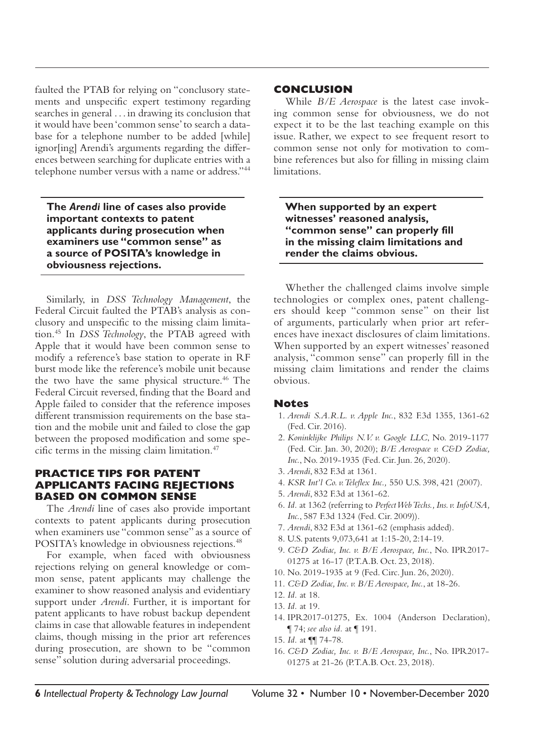faulted the PTAB for relying on "conclusory statements and unspecific expert testimony regarding searches in general . . . in drawing its conclusion that it would have been 'common sense' to search a database for a telephone number to be added [while] ignor[ing] Arendi's arguments regarding the differences between searching for duplicate entries with a telephone number versus with a name or address."44

**The** *Arendi* **line of cases also provide important contexts to patent applicants during prosecution when examiners use "common sense" as a source of POSITA's knowledge in obviousness rejections.**

Similarly, in *DSS Technology Management*, the Federal Circuit faulted the PTAB's analysis as conclusory and unspecific to the missing claim limitation.45 In *DSS Technology*, the PTAB agreed with Apple that it would have been common sense to modify a reference's base station to operate in RF burst mode like the reference's mobile unit because the two have the same physical structure.<sup>46</sup> The Federal Circuit reversed, finding that the Board and Apple failed to consider that the reference imposes different transmission requirements on the base station and the mobile unit and failed to close the gap between the proposed modification and some specific terms in the missing claim limitation.47

# **PRACTICE TIPS FOR PATENT APPLICANTS FACING REJECTIONS BASED ON COMMON SENSE**

The *Arendi* line of cases also provide important contexts to patent applicants during prosecution when examiners use "common sense" as a source of POSITA's knowledge in obviousness rejections.<sup>48</sup>

For example, when faced with obviousness rejections relying on general knowledge or common sense, patent applicants may challenge the examiner to show reasoned analysis and evidentiary support under *Arendi*. Further, it is important for patent applicants to have robust backup dependent claims in case that allowable features in independent claims, though missing in the prior art references during prosecution, are shown to be "common sense" solution during adversarial proceedings.

# **CONCLUSION**

While *B/E Aerospace* is the latest case invoking common sense for obviousness, we do not expect it to be the last teaching example on this issue. Rather, we expect to see frequent resort to common sense not only for motivation to combine references but also for filling in missing claim limitations.

**When supported by an expert witnesses' reasoned analysis, "common sense" can properly fill in the missing claim limitations and render the claims obvious.**

Whether the challenged claims involve simple technologies or complex ones, patent challengers should keep "common sense" on their list of arguments, particularly when prior art references have inexact disclosures of claim limitations. When supported by an expert witnesses' reasoned analysis, "common sense" can properly fill in the missing claim limitations and render the claims obvious.

#### **Notes**

- 1. *Arendi S.A.R.L. v. Apple Inc.*, 832 F.3d 1355, 1361-62 (Fed. Cir. 2016).
- 2. *Koninklijke Philips N.V. v. Google LLC*, No. 2019-1177 (Fed. Cir. Jan. 30, 2020); *B/E Aerospace v. C&D Zodiac, Inc.*, No. 2019-1935 (Fed. Cir. Jun. 26, 2020).
- 3. *Arendi*, 832 F.3d at 1361.
- 4. *KSR Int'l Co. v. Teleflex Inc*.*,* 550 U.S. 398, 421 (2007).
- 5. *Arendi*, 832 F.3d at 1361-62.
- 6. *Id.* at 1362 (referring to *Perfect Web Techs., Ins. v. InfoUSA, Inc.*, 587 F.3d 1324 (Fed. Cir. 2009)).
- 7. *Arendi*, 832 F.3d at 1361-62 (emphasis added).
- 8. U.S. patents 9,073,641 at 1:15-20, 2:14-19.
- 9. *C&D Zodiac, Inc. v. B/E Aerospace, Inc.*, No. IPR2017- 01275 at 16-17 (P.T.A.B. Oct. 23, 2018).
- 10. No. 2019-1935 at 9 (Fed. Circ. Jun. 26, 2020).
- 11. *C&D Zodiac, Inc. v. B/E Aerospace, Inc.*, at 18-26.
- 12. *Id.* at 18.
- 13. *Id.* at 19.
- 14. IPR2017-01275, Ex. 1004 (Anderson Declaration), ¶ 74; *see also id.* at ¶ 191.
- 15. *Id.* at ¶¶ 74-78.
- 16. *C&D Zodiac, Inc. v. B/E Aerospace, Inc.*, No. IPR2017- 01275 at 21-26 (P.T.A.B. Oct. 23, 2018).